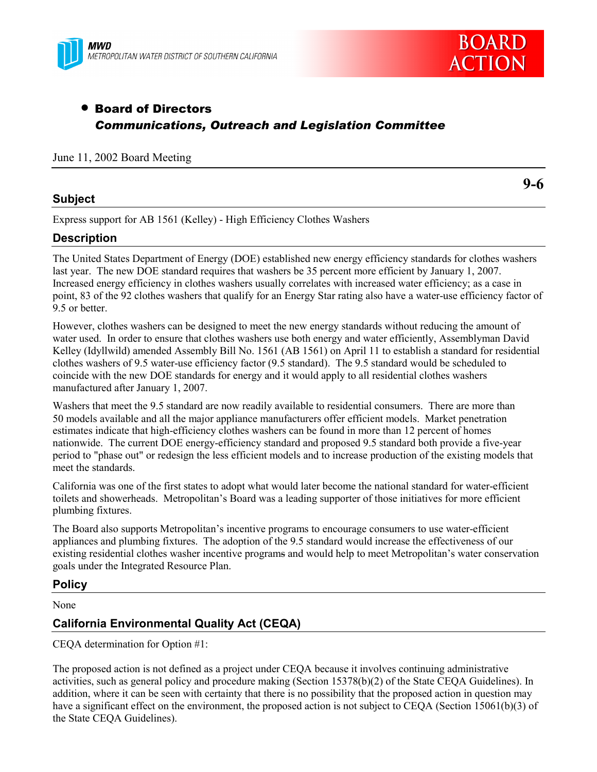



# • Board of Directors *Communications, Outreach and Legislation Committee*

### June 11, 2002 Board Meeting

## **Subject**

**9-6**

Express support for AB 1561 (Kelley) - High Efficiency Clothes Washers

## **Description**

The United States Department of Energy (DOE) established new energy efficiency standards for clothes washers last year. The new DOE standard requires that washers be 35 percent more efficient by January 1, 2007. Increased energy efficiency in clothes washers usually correlates with increased water efficiency; as a case in point, 83 of the 92 clothes washers that qualify for an Energy Star rating also have a water-use efficiency factor of 9.5 or better.

However, clothes washers can be designed to meet the new energy standards without reducing the amount of water used. In order to ensure that clothes washers use both energy and water efficiently, Assemblyman David Kelley (Idyllwild) amended Assembly Bill No. 1561 (AB 1561) on April 11 to establish a standard for residential clothes washers of 9.5 water-use efficiency factor (9.5 standard). The 9.5 standard would be scheduled to coincide with the new DOE standards for energy and it would apply to all residential clothes washers manufactured after January 1, 2007.

Washers that meet the 9.5 standard are now readily available to residential consumers. There are more than 50 models available and all the major appliance manufacturers offer efficient models. Market penetration estimates indicate that high-efficiency clothes washers can be found in more than 12 percent of homes nationwide. The current DOE energy-efficiency standard and proposed 9.5 standard both provide a five-year period to "phase out" or redesign the less efficient models and to increase production of the existing models that meet the standards.

California was one of the first states to adopt what would later become the national standard for water-efficient toilets and showerheads. Metropolitan's Board was a leading supporter of those initiatives for more efficient plumbing fixtures.

The Board also supports Metropolitan's incentive programs to encourage consumers to use water-efficient appliances and plumbing fixtures. The adoption of the 9.5 standard would increase the effectiveness of our existing residential clothes washer incentive programs and would help to meet Metropolitan's water conservation goals under the Integrated Resource Plan.

## **Policy**

None

## **California Environmental Quality Act (CEQA)**

CEQA determination for Option #1:

The proposed action is not defined as a project under CEQA because it involves continuing administrative activities, such as general policy and procedure making (Section 15378(b)(2) of the State CEQA Guidelines). In addition, where it can be seen with certainty that there is no possibility that the proposed action in question may have a significant effect on the environment, the proposed action is not subject to CEQA (Section 15061(b)(3) of the State CEQA Guidelines).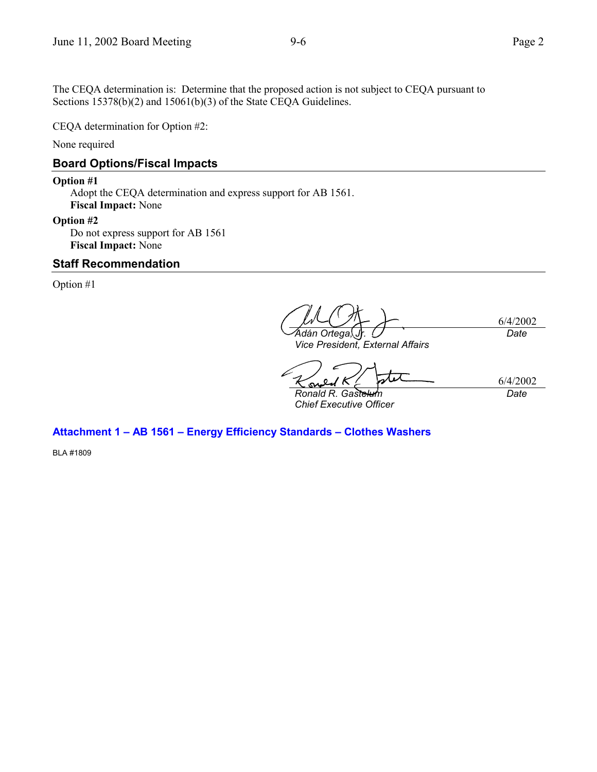The CEQA determination is: Determine that the proposed action is not subject to CEQA pursuant to Sections 15378(b)(2) and 15061(b)(3) of the State CEQA Guidelines.

CEQA determination for Option #2:

None required

## **Board Options/Fiscal Impacts**

### **Option #1**

Adopt the CEQA determination and express support for AB 1561. **Fiscal Impact:** None

### **Option #2**

Do not express support for AB 1561 **Fiscal Impact:** None

## **Staff Recommendation**

Option #1

6/4/2002  $\overline{{\mathsf{A}}$ *dán Ortega, Date*

*Vice President, External Affairs*

6/4/2002 S

*Ronald R. Gastelum Chief Executive Officer*

*Date*

## **Attachment 1 - AB 1561 - Energy Efficiency Standards - Clothes Washers**

BLA #1809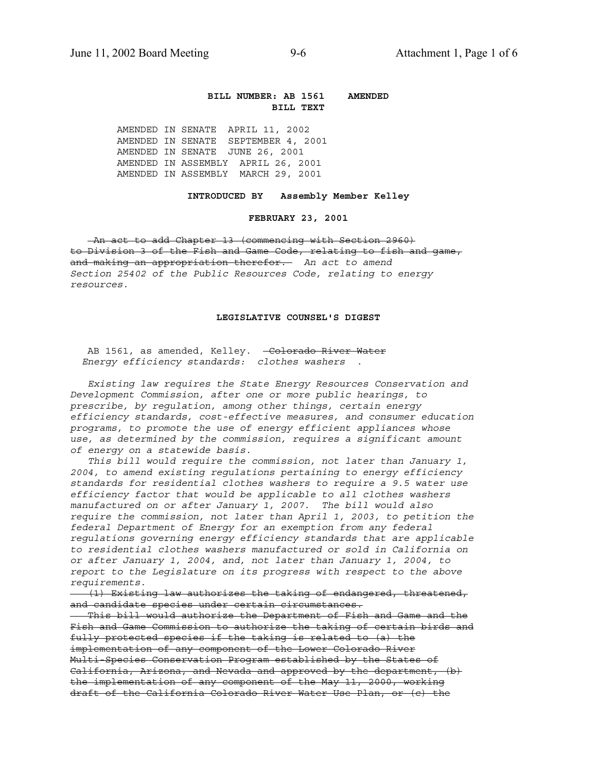### **BILL NUMBER: AB 1561 AMENDED BILL TEXT**

AMENDED IN SENATE APRIL 11, 2002 AMENDED IN SENATE SEPTEMBER 4, 2001 AMENDED IN SENATE JUNE 26, 2001 AMENDED IN ASSEMBLY APRIL 26, 2001 AMENDED IN ASSEMBLY MARCH 29, 2001

### **INTRODUCED BY Assembly Member Kelley**

### **FEBRUARY 23, 2001**

 An act to add Chapter 13 (commencing with Section 2960) to Division 3 of the Fish and Game Code, relating to fish and game, and making an appropriation therefor. *An act to amend Section 25402 of the Public Resources Code, relating to energy resources.*

#### **LEGISLATIVE COUNSEL'S DIGEST**

AB 1561, as amended, Kelley. - Colorado River Water  *Energy efficiency standards: clothes washers* .

 *Existing law requires the State Energy Resources Conservation and Development Commission, after one or more public hearings, to prescribe, by regulation, among other things, certain energy efficiency standards, cost-effective measures, and consumer education programs, to promote the use of energy efficient appliances whose use, as determined by the commission, requires a significant amount of energy on a statewide basis.*

 *This bill would require the commission, not later than January 1, 2004, to amend existing regulations pertaining to energy efficiency standards for residential clothes washers to require a 9.5 water use efficiency factor that would be applicable to all clothes washers manufactured on or after January 1, 2007. The bill would also require the commission, not later than April 1, 2003, to petition the federal Department of Energy for an exemption from any federal regulations governing energy efficiency standards that are applicable to residential clothes washers manufactured or sold in California on or after January 1, 2004, and, not later than January 1, 2004, to report to the Legislature on its progress with respect to the above requirements.*

 (1) Existing law authorizes the taking of endangered, threatened, and candidate species under certain circumstances.

 This bill would authorize the Department of Fish and Game and the Fish and Game Commission to authorize the taking of certain birds and fully protected species if the taking is related to (a) the implementation of any component of the Lower Colorado River Multi-Species Conservation Program established by the States of California, Arizona, and Nevada and approved by the department, (b) the implementation of any component of the May 11, 2000, working draft of the California Colorado River Water Use Plan, or (c) the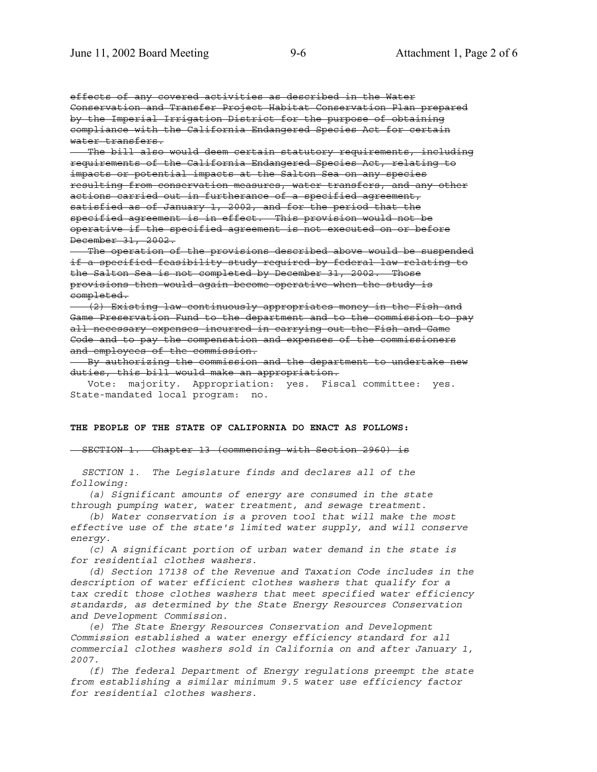effects of any covered activities as described in the Water Conservation and Transfer Project Habitat Conservation Plan prepared by the Imperial Irrigation District for the purpose of obtaining compliance with the California Endangered Species Act for certain water transfers.

 The bill also would deem certain statutory requirements, including requirements of the California Endangered Species Act, relating to impacts or potential impacts at the Salton Sea on any species resulting from conservation measures, water transfers, and any other actions carried out in furtherance of a specified agreement, satisfied as of January 1, 2002, and for the period that the specified agreement is in effect. This provision would not be operative if the specified agreement is not executed on or before December 31, 2002.

 The operation of the provisions described above would be suspended if a specified feasibility study required by federal law relating to the Salton Sea is not completed by December 31, 2002. Those provisions then would again become operative when the study is completed.

 (2) Existing law continuously appropriates money in the Fish and Game Preservation Fund to the department and to the commission to pay all necessary expenses incurred in carrying out the Fish and Game Code and to pay the compensation and expenses of the commissioners and employees of the commission.

 By authorizing the commission and the department to undertake new duties, this bill would make an appropriation.

 Vote: majority. Appropriation: yes. Fiscal committee: yes. State-mandated local program: no.

#### **THE PEOPLE OF THE STATE OF CALIFORNIA DO ENACT AS FOLLOWS:**

SECTION 1. Chapter 13 (commencing with Section 2960) is

 *SECTION 1. The Legislature finds and declares all of the following:*

 *(a) Significant amounts of energy are consumed in the state through pumping water, water treatment, and sewage treatment.*

 *(b) Water conservation is a proven tool that will make the most effective use of the state's limited water supply, and will conserve energy.*

 *(c) A significant portion of urban water demand in the state is for residential clothes washers.*

 *(d) Section 17138 of the Revenue and Taxation Code includes in the description of water efficient clothes washers that qualify for a tax credit those clothes washers that meet specified water efficiency standards, as determined by the State Energy Resources Conservation and Development Commission.*

 *(e) The State Energy Resources Conservation and Development Commission established a water energy efficiency standard for all commercial clothes washers sold in California on and after January 1, 2007.*

 *(f) The federal Department of Energy regulations preempt the state from establishing a similar minimum 9.5 water use efficiency factor for residential clothes washers.*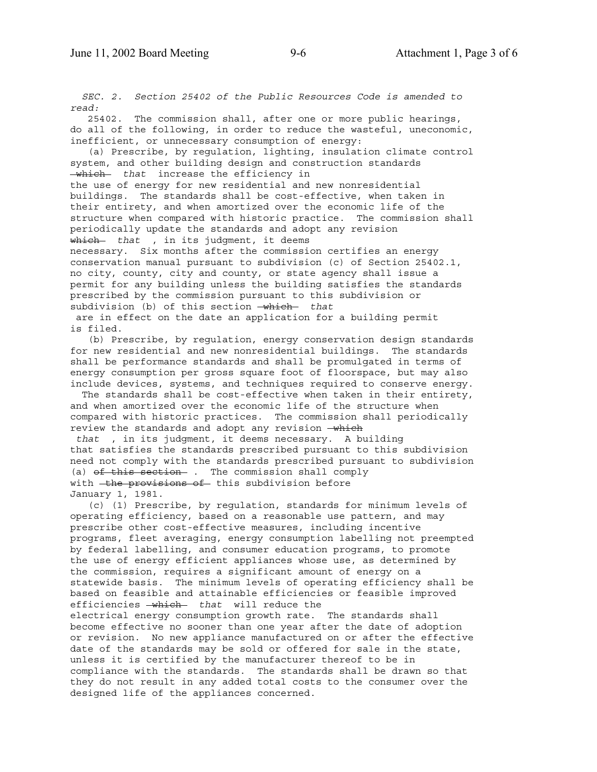*SEC. 2. Section 25402 of the Public Resources Code is amended to read:*

 25402. The commission shall, after one or more public hearings, do all of the following, in order to reduce the wasteful, uneconomic, inefficient, or unnecessary consumption of energy:

 (a) Prescribe, by regulation, lighting, insulation climate control system, and other building design and construction standards which *that* increase the efficiency in the use of energy for new residential and new nonresidential buildings. The standards shall be cost-effective, when taken in their entirety, and when amortized over the economic life of the structure when compared with historic practice. The commission shall periodically update the standards and adopt any revision which *that* , in its judgment, it deems necessary. Six months after the commission certifies an energy conservation manual pursuant to subdivision (c) of Section 25402.1, no city, county, city and county, or state agency shall issue a permit for any building unless the building satisfies the standards prescribed by the commission pursuant to this subdivision or subdivision (b) of this section which *that* are in effect on the date an application for a building permit

is filed.

 (b) Prescribe, by regulation, energy conservation design standards for new residential and new nonresidential buildings. The standards shall be performance standards and shall be promulgated in terms of energy consumption per gross square foot of floorspace, but may also include devices, systems, and techniques required to conserve energy.

 The standards shall be cost-effective when taken in their entirety, and when amortized over the economic life of the structure when compared with historic practices. The commission shall periodically review the standards and adopt any revision -which

 *that* , in its judgment, it deems necessary. A building that satisfies the standards prescribed pursuant to this subdivision need not comply with the standards prescribed pursuant to subdivision (a) of this section - . The commission shall comply with the provisions of this subdivision before January 1, 1981.

 (c) (1) Prescribe, by regulation, standards for minimum levels of operating efficiency, based on a reasonable use pattern, and may prescribe other cost-effective measures, including incentive programs, fleet averaging, energy consumption labelling not preempted by federal labelling, and consumer education programs, to promote the use of energy efficient appliances whose use, as determined by the commission, requires a significant amount of energy on a statewide basis. The minimum levels of operating efficiency shall be based on feasible and attainable efficiencies or feasible improved efficiencies which *that* will reduce the electrical energy consumption growth rate. The standards shall become effective no sooner than one year after the date of adoption or revision. No new appliance manufactured on or after the effective date of the standards may be sold or offered for sale in the state, unless it is certified by the manufacturer thereof to be in compliance with the standards. The standards shall be drawn so that they do not result in any added total costs to the consumer over the designed life of the appliances concerned.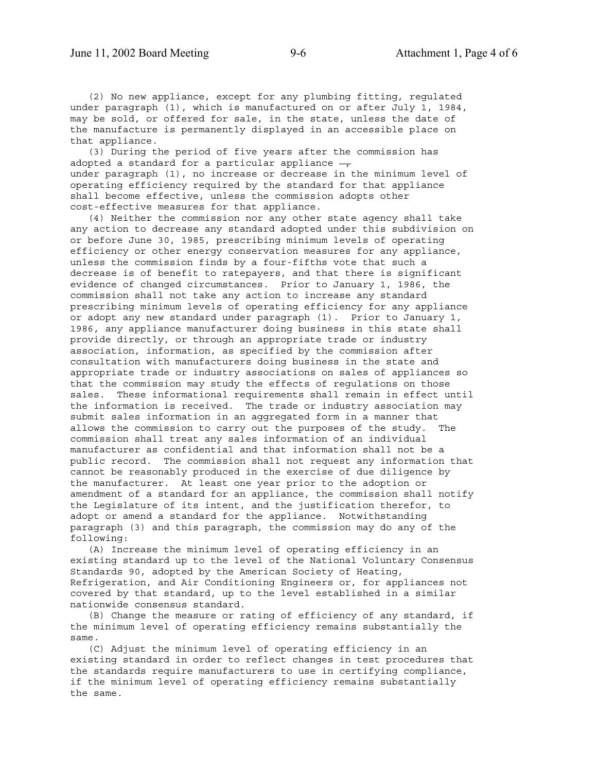(2) No new appliance, except for any plumbing fitting, regulated under paragraph (1), which is manufactured on or after July 1, 1984, may be sold, or offered for sale, in the state, unless the date of the manufacture is permanently displayed in an accessible place on that appliance.

 (3) During the period of five years after the commission has adopted a standard for a particular appliance  $\overline{\phantom{a}}$ under paragraph (1), no increase or decrease in the minimum level of operating efficiency required by the standard for that appliance shall become effective, unless the commission adopts other cost-effective measures for that appliance.

 (4) Neither the commission nor any other state agency shall take any action to decrease any standard adopted under this subdivision on or before June 30, 1985, prescribing minimum levels of operating efficiency or other energy conservation measures for any appliance, unless the commission finds by a four-fifths vote that such a decrease is of benefit to ratepayers, and that there is significant evidence of changed circumstances. Prior to January 1, 1986, the commission shall not take any action to increase any standard prescribing minimum levels of operating efficiency for any appliance or adopt any new standard under paragraph (1). Prior to January 1, 1986, any appliance manufacturer doing business in this state shall provide directly, or through an appropriate trade or industry association, information, as specified by the commission after consultation with manufacturers doing business in the state and appropriate trade or industry associations on sales of appliances so that the commission may study the effects of regulations on those sales. These informational requirements shall remain in effect until the information is received. The trade or industry association may submit sales information in an aggregated form in a manner that allows the commission to carry out the purposes of the study. The commission shall treat any sales information of an individual manufacturer as confidential and that information shall not be a public record. The commission shall not request any information that cannot be reasonably produced in the exercise of due diligence by the manufacturer. At least one year prior to the adoption or amendment of a standard for an appliance, the commission shall notify the Legislature of its intent, and the justification therefor, to adopt or amend a standard for the appliance. Notwithstanding paragraph (3) and this paragraph, the commission may do any of the following:

 (A) Increase the minimum level of operating efficiency in an existing standard up to the level of the National Voluntary Consensus Standards 90, adopted by the American Society of Heating, Refrigeration, and Air Conditioning Engineers or, for appliances not covered by that standard, up to the level established in a similar nationwide consensus standard.

 (B) Change the measure or rating of efficiency of any standard, if the minimum level of operating efficiency remains substantially the same.

 (C) Adjust the minimum level of operating efficiency in an existing standard in order to reflect changes in test procedures that the standards require manufacturers to use in certifying compliance, if the minimum level of operating efficiency remains substantially the same.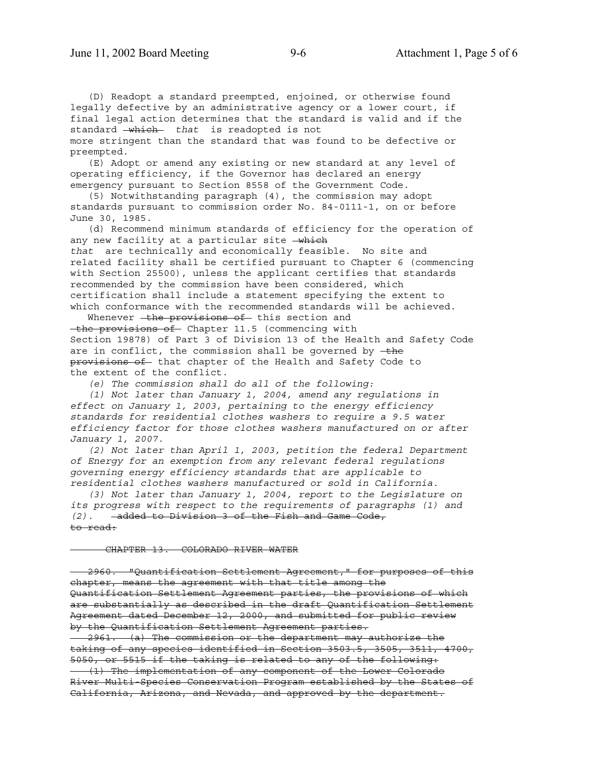(D) Readopt a standard preempted, enjoined, or otherwise found legally defective by an administrative agency or a lower court, if final legal action determines that the standard is valid and if the standard which *that* is readopted is not more stringent than the standard that was found to be defective or preempted.

 (E) Adopt or amend any existing or new standard at any level of operating efficiency, if the Governor has declared an energy emergency pursuant to Section 8558 of the Government Code.

 (5) Notwithstanding paragraph (4), the commission may adopt standards pursuant to commission order No. 84-0111-1, on or before June 30, 1985.

 (d) Recommend minimum standards of efficiency for the operation of any new facility at a particular site -which *that* are technically and economically feasible. No site and related facility shall be certified pursuant to Chapter 6 (commencing with Section 25500), unless the applicant certifies that standards recommended by the commission have been considered, which certification shall include a statement specifying the extent to which conformance with the recommended standards will be achieved.

Whenever - the provisions of this section and the provisions of Chapter 11.5 (commencing with Section 19878) of Part 3 of Division 13 of the Health and Safety Code are in conflict, the commission shall be governed by  $-\text{the}$ provisions of that chapter of the Health and Safety Code to the extent of the conflict.

 *(e) The commission shall do all of the following:*

 *(1) Not later than January 1, 2004, amend any regulations in effect on January 1, 2003, pertaining to the energy efficiency standards for residential clothes washers to require a 9.5 water efficiency factor for those clothes washers manufactured on or after January 1, 2007.*

 *(2) Not later than April 1, 2003, petition the federal Department of Energy for an exemption from any relevant federal regulations governing energy efficiency standards that are applicable to residential clothes washers manufactured or sold in California.*

 *(3) Not later than January 1, 2004, report to the Legislature on its progress with respect to the requirements of paragraphs (1) and (2).* added to Division 3 of the Fish and Game Code, to read:

CHAPTER 13. COLORADO RIVER WATER

 2960. "Quantification Settlement Agreement," for purposes of this chapter, means the agreement with that title among the Quantification Settlement Agreement parties, the provisions of which are substantially as described in the draft Quantification Settlement Agreement dated December 12, 2000, and submitted for public review by the Quantification Settlement Agreement parties.

 2961. (a) The commission or the department may authorize the taking of any species identified in Section 3503.5, 3505, 3511, 4700, 5050, or 5515 if the taking is related to any of the following: (1) The implementation of any component of the Lower Colorado River Multi-Species Conservation Program established by the States of California, Arizona, and Nevada, and approved by the department.